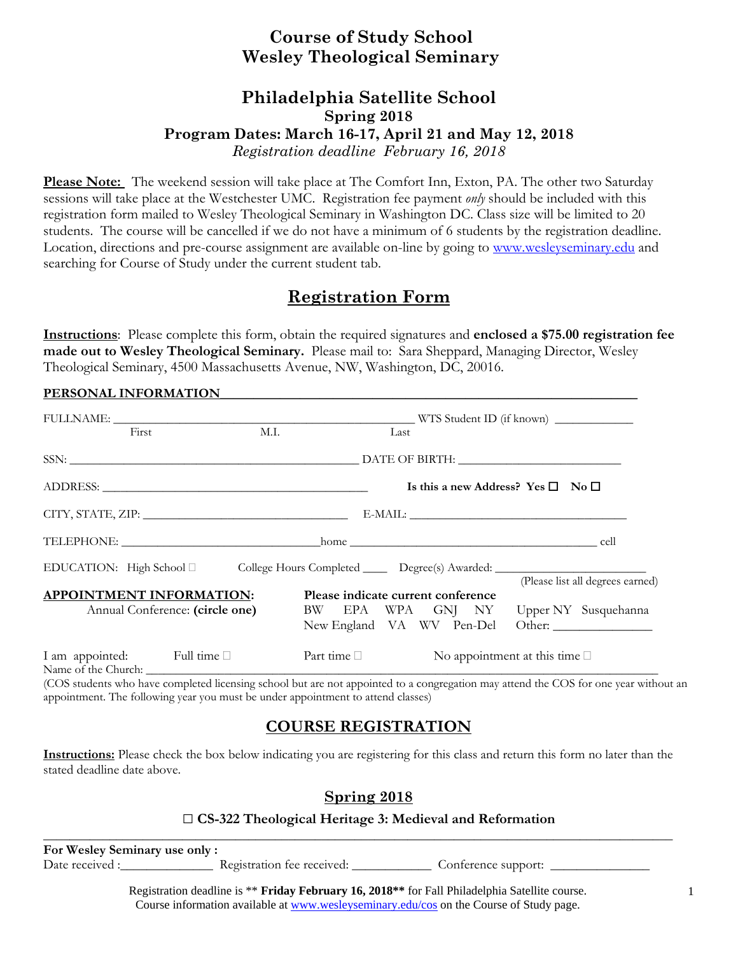## **Course of Study School Wesley Theological Seminary**

### **Philadelphia Satellite School Spring 2018 Program Dates: March 16-17, April 21 and May 12, 2018**  *Registration deadline February 16, 2018*

**Please Note:** The weekend session will take place at The Comfort Inn, Exton, PA. The other two Saturday sessions will take place at the Westchester UMC. Registration fee payment *only* should be included with this registration form mailed to Wesley Theological Seminary in Washington DC. Class size will be limited to 20 students. The course will be cancelled if we do not have a minimum of 6 students by the registration deadline. Location, directions and pre-course assignment are available on-line by going to www.wesleyseminary.edu and searching for Course of Study under the current student tab.

# **Registration Form**

**Instructions**: Please complete this form, obtain the required signatures and **enclosed a \$75.00 registration fee made out to Wesley Theological Seminary.** Please mail to: Sara Sheppard, Managing Director, Wesley Theological Seminary, 4500 Massachusetts Avenue, NW, Washington, DC, 20016.

#### PERSONAL INFORMATION

| First                                                                                               | M.I. |                                    | Last |  |  |                                                   |                                                                            |
|-----------------------------------------------------------------------------------------------------|------|------------------------------------|------|--|--|---------------------------------------------------|----------------------------------------------------------------------------|
|                                                                                                     |      |                                    |      |  |  |                                                   |                                                                            |
|                                                                                                     |      |                                    |      |  |  | Is this a new Address? Yes $\square$ No $\square$ |                                                                            |
|                                                                                                     |      |                                    |      |  |  |                                                   |                                                                            |
|                                                                                                     |      |                                    |      |  |  |                                                   |                                                                            |
| EDUCATION: High School □ College Hours Completed _______ Degree(s) Awarded: _______________________ |      |                                    |      |  |  |                                                   |                                                                            |
| <b>APPOINTMENT INFORMATION:</b>                                                                     |      | Please indicate current conference |      |  |  |                                                   | (Please list all degrees earned)                                           |
| Annual Conference: (circle one)                                                                     |      |                                    |      |  |  |                                                   | BW EPA WPA GNJ NY Upper NY Susquehanna<br>New England VA WV Pen-Del Other: |
| I am appointed: Full time $\Box$                                                                    |      | Part time $\Box$                   |      |  |  | No appointment at this time $\square$             |                                                                            |

(COS students who have completed licensing school but are not appointed to a congregation may attend the COS for one year without an appointment. The following year you must be under appointment to attend classes)

### **COURSE REGISTRATION**

**Instructions:** Please check the box below indicating you are registering for this class and return this form no later than the stated deadline date above.

### **Spring 2018**

#### □ **CS-322 Theological Heritage 3: Medieval and Reformation**

**For Wesley Seminary use only :**  Date received :\_\_\_\_\_\_\_\_\_\_\_\_\_\_\_\_\_ Registration fee received: \_\_\_\_\_\_\_\_\_\_\_\_\_ Conference support: \_\_\_\_\_\_\_\_\_\_\_

**\_\_\_\_\_\_\_\_\_\_\_\_\_\_\_\_\_\_\_\_\_\_\_\_\_\_\_\_\_\_\_\_\_\_\_\_\_\_\_\_\_\_\_\_\_\_\_\_\_\_\_\_\_\_\_\_\_\_\_\_\_\_\_\_\_\_\_\_\_\_\_\_\_\_\_\_\_\_\_\_\_\_\_\_\_\_\_\_\_\_\_\_\_\_\_** 

Registration deadline is \*\* **Friday February 16, 2018\*\*** for Fall Philadelphia Satellite course. Course information available at www.wesleyseminary.edu/cos on the Course of Study page.